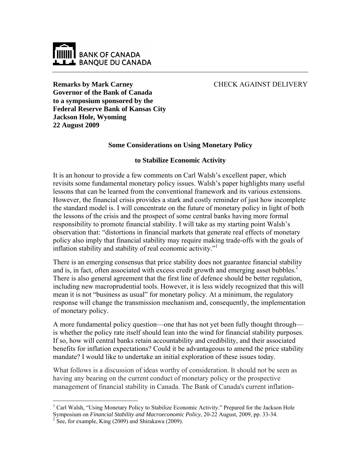

# CHECK AGAINST DELIVERY

**Remarks by Mark Carney Governor of the Bank of Canada to a symposium sponsored by the Federal Reserve Bank of Kansas City Jackson Hole, Wyoming 22 August 2009** 

## **Some Considerations on Using Monetary Policy**

### **to Stabilize Economic Activity**

It is an honour to provide a few comments on Carl Walsh's excellent paper, which revisits some fundamental monetary policy issues. Walsh's paper highlights many useful lessons that can be learned from the conventional framework and its various extensions. However, the financial crisis provides a stark and costly reminder of just how incomplete the standard model is. I will concentrate on the future of monetary policy in light of both the lessons of the crisis and the prospect of some central banks having more formal responsibility to promote financial stability. I will take as my starting point Walsh's observation that: "distortions in financial markets that generate real effects of monetary policy also imply that financial stability may require making trade-offs with the goals of inflation stability and stability of real economic activity."<sup>1</sup>

There is an emerging consensus that price stability does not guarantee financial stability and is, in fact, often associated with excess credit growth and emerging asset bubbles. $2^2$ There is also general agreement that the first line of defence should be better regulation, including new macroprudential tools. However, it is less widely recognized that this will mean it is not "business as usual" for monetary policy. At a minimum, the regulatory response will change the transmission mechanism and, consequently, the implementation of monetary policy.

A more fundamental policy question—one that has not yet been fully thought through is whether the policy rate itself should lean into the wind for financial stability purposes. If so, how will central banks retain accountability and credibility, and their associated benefits for inflation expectations? Could it be advantageous to amend the price stability mandate? I would like to undertake an initial exploration of these issues today.

What follows is a discussion of ideas worthy of consideration. It should not be seen as having any bearing on the current conduct of monetary policy or the prospective management of financial stability in Canada. The Bank of Canada's current inflation-

 $\overline{a}$ <sup>1</sup> Carl Walsh, "Using Monetary Policy to Stabilize Economic Activity." Prepared for the Jackson Hole Symposium on *Financial Stability and Macroeconomic Policy*, 20-22 August, 2009, pp. 33-34. 2

 $2$  See, for example, King (2009) and Shirakawa (2009).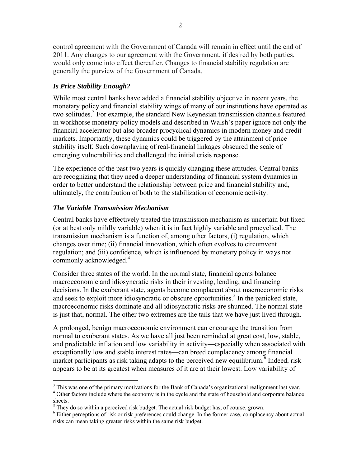control agreement with the Government of Canada will remain in effect until the end of 2011. Any changes to our agreement with the Government, if desired by both parties, would only come into effect thereafter. Changes to financial stability regulation are generally the purview of the Government of Canada.

## *Is Price Stability Enough?*

While most central banks have added a financial stability objective in recent years, the monetary policy and financial stability wings of many of our institutions have operated as two solitudes.<sup>3</sup> For example, the standard New Keynesian transmission channels featured in workhorse monetary policy models and described in Walsh's paper ignore not only the financial accelerator but also broader procyclical dynamics in modern money and credit markets. Importantly, these dynamics could be triggered by the attainment of price stability itself. Such downplaying of real-financial linkages obscured the scale of emerging vulnerabilities and challenged the initial crisis response.

The experience of the past two years is quickly changing these attitudes. Central banks are recognizing that they need a deeper understanding of financial system dynamics in order to better understand the relationship between price and financial stability and, ultimately, the contribution of both to the stabilization of economic activity.

# *The Variable Transmission Mechanism*

 $\overline{a}$ 

Central banks have effectively treated the transmission mechanism as uncertain but fixed (or at best only mildly variable) when it is in fact highly variable and procyclical. The transmission mechanism is a function of, among other factors, (i) regulation, which changes over time; (ii) financial innovation, which often evolves to circumvent regulation; and (iii) confidence, which is influenced by monetary policy in ways not commonly acknowledged.<sup>4</sup>

Consider three states of the world. In the normal state, financial agents balance macroeconomic and idiosyncratic risks in their investing, lending, and financing decisions. In the exuberant state, agents become complacent about macroeconomic risks and seek to exploit more idiosyncratic or obscure opportunities.<sup>5</sup> In the panicked state, macroeconomic risks dominate and all idiosyncratic risks are shunned. The normal state is just that, normal. The other two extremes are the tails that we have just lived through.

A prolonged, benign macroeconomic environment can encourage the transition from normal to exuberant states. As we have all just been reminded at great cost, low, stable, and predictable inflation and low variability in activity—especially when associated with exceptionally low and stable interest rates—can breed complacency among financial market participants as risk taking adapts to the perceived new equilibrium.<sup>6</sup> Indeed, risk appears to be at its greatest when measures of it are at their lowest. Low variability of

<sup>&</sup>lt;sup>3</sup> This was one of the primary motivations for the Bank of Canada's organizational realignment last year. <sup>4</sup> Other factors include where the economy is in the cycle and the state of household and corporate balance sheets.

 $^5$  They do so within a perceived risk budget. The actual risk budget has, of course, grown.

<sup>&</sup>lt;sup>6</sup> Either perceptions of risk or risk preferences could change. In the former case, complacency about actual risks can mean taking greater risks within the same risk budget.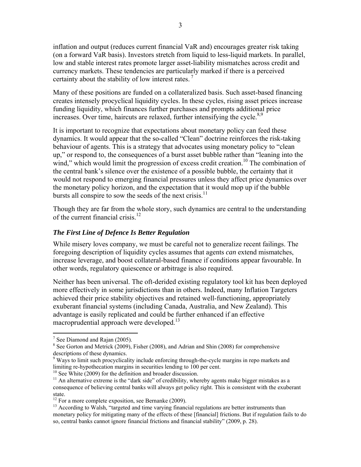inflation and output (reduces current financial VaR and) encourages greater risk taking (on a forward VaR basis). Investors stretch from liquid to less-liquid markets. In parallel, low and stable interest rates promote larger asset-liability mismatches across credit and currency markets. These tendencies are particularly marked if there is a perceived certainty about the stability of low interest rates.<sup>7</sup>

Many of these positions are funded on a collateralized basis. Such asset-based financing creates intensely procyclical liquidity cycles. In these cycles, rising asset prices increase funding liquidity, which finances further purchases and prompts additional price increases. Over time, haircuts are relaxed, further intensifying the cycle. $8,9$ 

It is important to recognize that expectations about monetary policy can feed these dynamics. It would appear that the so-called "Clean" doctrine reinforces the risk-taking behaviour of agents. This is a strategy that advocates using monetary policy to "clean up," or respond to, the consequences of a burst asset bubble rather than "leaning into the wind," which would limit the progression of excess credit creation.<sup>10</sup> The combination of the central bank's silence over the existence of a possible bubble, the certainty that it would not respond to emerging financial pressures unless they affect price dynamics over the monetary policy horizon, and the expectation that it would mop up if the bubble bursts all conspire to sow the seeds of the next crisis. $11$ 

Though they are far from the whole story, such dynamics are central to the understanding of the current financial crisis.<sup>12</sup>

### *The First Line of Defence Is Better Regulation*

While misery loves company, we must be careful not to generalize recent failings. The foregoing description of liquidity cycles assumes that agents *can* extend mismatches, increase leverage, and boost collateral-based finance if conditions appear favourable. In other words, regulatory quiescence or arbitrage is also required.

Neither has been universal. The oft-derided existing regulatory tool kit has been deployed more effectively in some jurisdictions than in others. Indeed, many Inflation Targeters achieved their price stability objectives and retained well-functioning, appropriately exuberant financial systems (including Canada, Australia, and New Zealand). This advantage is easily replicated and could be further enhanced if an effective macroprudential approach were developed.<sup>13</sup>

 $\overline{a}$ 

<sup>9</sup> Ways to limit such procyclicality include enforcing through-the-cycle margins in repo markets and limiting re-hypothecation margins in securities lending to 100 per cent.<br><sup>10</sup> See White (2009) for the definition and broader discussion.

<sup>&</sup>lt;sup>7</sup> See Diamond and Rajan (2005).

 $8$  See Gorton and Metrick (2009), Fisher (2008), and Adrian and Shin (2008) for comprehensive descriptions of these dynamics.

 $11$  An alternative extreme is the "dark side" of credibility, whereby agents make bigger mistakes as a consequence of believing central banks will always get policy right. This is consistent with the exuberant state.

 $12$  For a more complete exposition, see Bernanke (2009).

<sup>&</sup>lt;sup>13</sup> According to Walsh, "targeted and time varying financial regulations are better instruments than monetary policy for mitigating many of the effects of these [financial] frictions. But if regulation fails to do so, central banks cannot ignore financial frictions and financial stability" (2009, p. 28).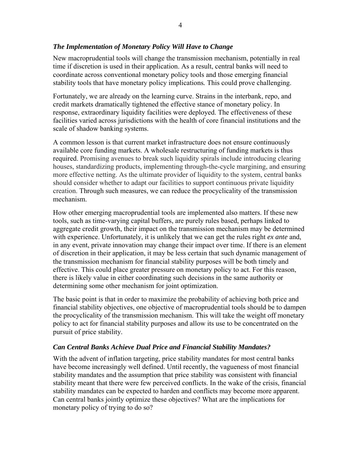## *The Implementation of Monetary Policy Will Have to Change*

New macroprudential tools will change the transmission mechanism, potentially in real time if discretion is used in their application. As a result, central banks will need to coordinate across conventional monetary policy tools and those emerging financial stability tools that have monetary policy implications*.* This could prove challenging.

Fortunately, we are already on the learning curve. Strains in the interbank, repo, and credit markets dramatically tightened the effective stance of monetary policy. In response, extraordinary liquidity facilities were deployed. The effectiveness of these facilities varied across jurisdictions with the health of core financial institutions and the scale of shadow banking systems.

A common lesson is that current market infrastructure does not ensure continuously available core funding markets. A wholesale restructuring of funding markets is thus required. Promising avenues to break such liquidity spirals include introducing clearing houses, standardizing products, implementing through-the-cycle margining, and ensuring more effective netting. As the ultimate provider of liquidity to the system, central banks should consider whether to adapt our facilities to support continuous private liquidity creation. Through such measures, we can reduce the procyclicality of the transmission mechanism.

How other emerging macroprudential tools are implemented also matters. If these new tools, such as time-varying capital buffers, are purely rules based, perhaps linked to aggregate credit growth, their impact on the transmission mechanism may be determined with experience. Unfortunately, it is unlikely that we can get the rules right *ex ante* and, in any event, private innovation may change their impact over time. If there is an element of discretion in their application, it may be less certain that such dynamic management of the transmission mechanism for financial stability purposes will be both timely and effective. This could place greater pressure on monetary policy to act. For this reason, there is likely value in either coordinating such decisions in the same authority or determining some other mechanism for joint optimization.

The basic point is that in order to maximize the probability of achieving both price and financial stability objectives, one objective of macroprudential tools should be to dampen the procyclicality of the transmission mechanism. This will take the weight off monetary policy to act for financial stability purposes and allow its use to be concentrated on the pursuit of price stability.

## *Can Central Banks Achieve Dual Price and Financial Stability Mandates?*

With the advent of inflation targeting, price stability mandates for most central banks have become increasingly well defined. Until recently, the vagueness of most financial stability mandates and the assumption that price stability was consistent with financial stability meant that there were few perceived conflicts. In the wake of the crisis, financial stability mandates can be expected to harden and conflicts may become more apparent. Can central banks jointly optimize these objectives? What are the implications for monetary policy of trying to do so?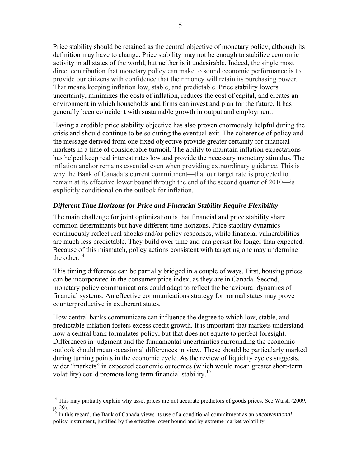Price stability should be retained as the central objective of monetary policy, although its definition may have to change. Price stability may not be enough to stabilize economic activity in all states of the world, but neither is it undesirable. Indeed, the single most direct contribution that monetary policy can make to sound economic performance is to provide our citizens with confidence that their money will retain its purchasing power. That means keeping inflation low, stable, and predictable. Price stability lowers uncertainty, minimizes the costs of inflation, reduces the cost of capital, and creates an environment in which households and firms can invest and plan for the future. It has generally been coincident with sustainable growth in output and employment.

Having a credible price stability objective has also proven enormously helpful during the crisis and should continue to be so during the eventual exit. The coherence of policy and the message derived from one fixed objective provide greater certainty for financial markets in a time of considerable turmoil. The ability to maintain inflation expectations has helped keep real interest rates low and provide the necessary monetary stimulus. The inflation anchor remains essential even when providing extraordinary guidance. This is why the Bank of Canada's current commitment—that our target rate is projected to remain at its effective lower bound through the end of the second quarter of 2010—is explicitly conditional on the outlook for inflation.

## *Different Time Horizons for Price and Financial Stability Require Flexibility*

The main challenge for joint optimization is that financial and price stability share common determinants but have different time horizons. Price stability dynamics continuously reflect real shocks and/or policy responses, while financial vulnerabilities are much less predictable. They build over time and can persist for longer than expected. Because of this mismatch, policy actions consistent with targeting one may undermine the other  $^{14}$ .

This timing difference can be partially bridged in a couple of ways. First, housing prices can be incorporated in the consumer price index, as they are in Canada. Second, monetary policy communications could adapt to reflect the behavioural dynamics of financial systems. An effective communications strategy for normal states may prove counterproductive in exuberant states.

How central banks communicate can influence the degree to which low, stable, and predictable inflation fosters excess credit growth. It is important that markets understand how a central bank formulates policy, but that does not equate to perfect foresight. Differences in judgment and the fundamental uncertainties surrounding the economic outlook should mean occasional differences in view. These should be particularly marked during turning points in the economic cycle. As the review of liquidity cycles suggests, wider "markets" in expected economic outcomes (which would mean greater short-term volatility) could promote long-term financial stability.<sup>15</sup>

 $\overline{a}$ 

 $14$  This may partially explain why asset prices are not accurate predictors of goods prices. See Walsh (2009, p. 29).

<sup>15</sup> In this regard, the Bank of Canada views its use of a conditional commitment as an *unconventional*  policy instrument, justified by the effective lower bound and by extreme market volatility.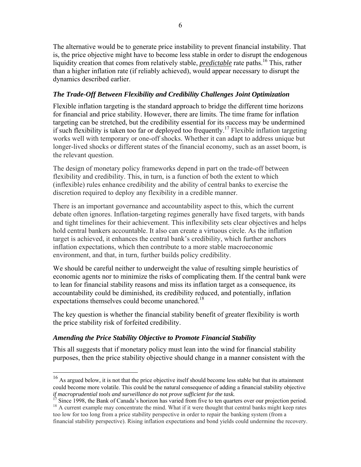The alternative would be to generate price instability to prevent financial instability. That is, the price objective might have to become less stable in order to disrupt the endogenous liquidity creation that comes from relatively stable, *predictable* rate paths.<sup>16</sup> This, rather than a higher inflation rate (if reliably achieved), would appear necessary to disrupt the dynamics described earlier.

# *The Trade-Off Between Flexibility and Credibility Challenges Joint Optimization*

Flexible inflation targeting is the standard approach to bridge the different time horizons for financial and price stability. However, there are limits. The time frame for inflation targeting can be stretched, but the credibility essential for its success may be undermined if such flexibility is taken too far or deployed too frequently.<sup>17</sup> Flexible inflation targeting works well with temporary or one-off shocks. Whether it can adapt to address unique but longer-lived shocks or different states of the financial economy, such as an asset boom, is the relevant question.

The design of monetary policy frameworks depend in part on the trade-off between flexibility and credibility. This, in turn, is a function of both the extent to which (inflexible) rules enhance credibility and the ability of central banks to exercise the discretion required to deploy any flexibility in a credible manner.

There is an important governance and accountability aspect to this, which the current debate often ignores. Inflation-targeting regimes generally have fixed targets, with bands and tight timelines for their achievement. This inflexibility sets clear objectives and helps hold central bankers accountable. It also can create a virtuous circle. As the inflation target is achieved, it enhances the central bank's credibility, which further anchors inflation expectations, which then contribute to a more stable macroeconomic environment, and that, in turn, further builds policy credibility.

We should be careful neither to underweight the value of resulting simple heuristics of economic agents nor to minimize the risks of complicating them. If the central bank were to lean for financial stability reasons and miss its inflation target as a consequence, its accountability could be diminished, its credibility reduced, and potentially, inflation expectations themselves could become unanchored.<sup>18</sup>

The key question is whether the financial stability benefit of greater flexibility is worth the price stability risk of forfeited credibility.

# *Amending the Price Stability Objective to Promote Financial Stability*

 $\overline{a}$ 

This all suggests that if monetary policy must lean into the wind for financial stability purposes, then the price stability objective should change in a manner consistent with the

<sup>&</sup>lt;sup>16</sup> As argued below, it is not that the price objective itself should become less stable but that its attainment could become more volatile. This could be the natural consequence of adding a financial stability objective

*if macroprudential tools and surveillance do not prove sufficient for the task.*<br><sup>17</sup> Since 1998, the Bank of Canada's horizon has varied from five to ten quarters over our projection period.<br><sup>18</sup> A current example may c

too low for too long from a price stability perspective in order to repair the banking system (from a financial stability perspective). Rising inflation expectations and bond yields could undermine the recovery.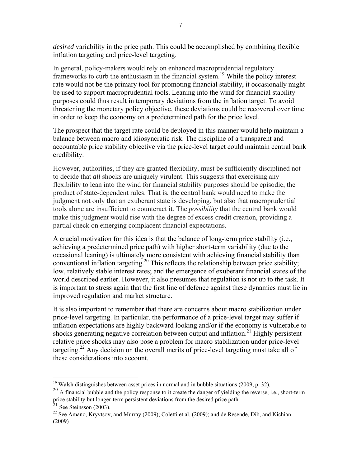*desired* variability in the price path. This could be accomplished by combining flexible inflation targeting and price-level targeting.

In general, policy-makers would rely on enhanced macroprudential regulatory frameworks to curb the enthusiasm in the financial system.19 While the policy interest rate would not be the primary tool for promoting financial stability, it occasionally might be used to support macroprudential tools. Leaning into the wind for financial stability purposes could thus result in temporary deviations from the inflation target. To avoid threatening the monetary policy objective, these deviations could be recovered over time in order to keep the economy on a predetermined path for the price level.

The prospect that the target rate could be deployed in this manner would help maintain a balance between macro and idiosyncratic risk. The discipline of a transparent and accountable price stability objective via the price-level target could maintain central bank credibility.

However, authorities, if they are granted flexibility, must be sufficiently disciplined not to decide that *all* shocks are uniquely virulent. This suggests that exercising any flexibility to lean into the wind for financial stability purposes should be episodic, the product of state-dependent rules. That is, the central bank would need to make the judgment not only that an exuberant state is developing, but also that macroprudential tools alone are insufficient to counteract it. The *possibility* that the central bank would make this judgment would rise with the degree of excess credit creation, providing a partial check on emerging complacent financial expectations.

A crucial motivation for this idea is that the balance of long-term price stability (i.e., achieving a predetermined price path) with higher short-term variability (due to the occasional leaning) is ultimately more consistent with achieving financial stability than conventional inflation targeting.<sup>20</sup> This reflects the relationship between price stability; low, relatively stable interest rates; and the emergence of exuberant financial states of the world described earlier. However, it also presumes that regulation is not up to the task. It is important to stress again that the first line of defence against these dynamics must lie in improved regulation and market structure.

It is also important to remember that there are concerns about macro stabilization under price-level targeting. In particular, the performance of a price-level target may suffer if inflation expectations are highly backward looking and/or if the economy is vulnerable to shocks generating negative correlation between output and inflation.<sup>21</sup> Highly persistent relative price shocks may also pose a problem for macro stabilization under price-level targeting.<sup>22</sup> Any decision on the overall merits of price-level targeting must take all of these considerations into account.

1

<sup>&</sup>lt;sup>19</sup> Walsh distinguishes between asset prices in normal and in bubble situations (2009, p. 32).

 $^{20}$  A financial bubble and the policy response to it create the danger of yielding the reverse, i.e., short-term price stability but longer-term persistent deviations from the desired price path.<br><sup>21</sup> See Steinsson (2003).

<sup>&</sup>lt;sup>22</sup> See Amano, Kryvtsov, and Murray (2009); Coletti et al. (2009); and de Resende, Dib, and Kichian (2009)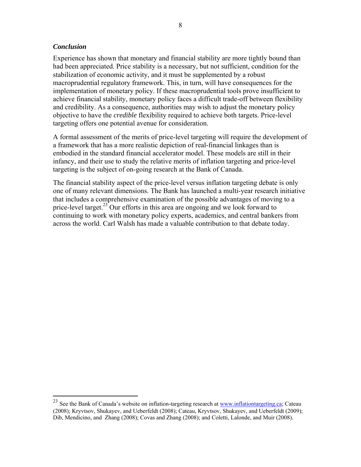#### *Conclusion*

1

Experience has shown that monetary and financial stability are more tightly bound than had been appreciated. Price stability is a necessary, but not sufficient, condition for the stabilization of economic activity, and it must be supplemented by a robust macroprudential regulatory framework. This, in turn, will have consequences for the implementation of monetary policy. If these macroprudential tools prove insufficient to achieve financial stability, monetary policy faces a difficult trade-off between flexibility and credibility. As a consequence, authorities may wish to adjust the monetary policy objective to have the *credible* flexibility required to achieve both targets. Price-level targeting offers one potential avenue for consideration.

A formal assessment of the merits of price-level targeting will require the development of a framework that has a more realistic depiction of real-financial linkages than is embodied in the standard financial accelerator model. These models are still in their infancy, and their use to study the relative merits of inflation targeting and price-level targeting is the subject of on-going research at the Bank of Canada.

The financial stability aspect of the price-level versus inflation targeting debate is only one of many relevant dimensions. The Bank has launched a multi-year research initiative that includes a comprehensive examination of the possible advantages of moving to a price-level target.<sup>23</sup> Our efforts in this area are ongoing and we look forward to continuing to work with monetary policy experts, academics, and central bankers from across the world. Carl Walsh has made a valuable contribution to that debate today.

<sup>&</sup>lt;sup>23</sup> See the Bank of Canada's website on inflation-targeting research at [www.inflationtargeting.ca](http://inflationtargeting.ca); Cateau (2008); Kryvtsov, Shukayev, and Ueberfeldt (2008); Cateau, Kryvtsov, Shukayev, and Ueberfeldt (2009); Dib, Mendicino, and Zhang (2008); Covas and Zhang (2008); and Coletti, Lalonde, and Muir (2008).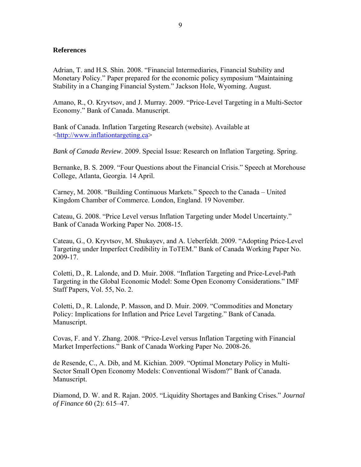#### **References**

Adrian, T. and H.S. Shin. 2008. "Financial Intermediaries, Financial Stability and Monetary Policy." Paper prepared for the economic policy symposium "Maintaining Stability in a Changing Financial System." Jackson Hole, Wyoming. August.

Amano, R., O. Kryvtsov, and J. Murray. 2009. "Price-Level Targeting in a Multi-Sector Economy." Bank of Canada. Manuscript.

Bank of Canada. Inflation Targeting Research (website). Available at [<http://www.inflationtargeting.ca](http://inflationtargeting.ca)>

*Bank of Canada Review*. 2009. Special Issue: Research on Inflation Targeting. Spring.

Bernanke, B. S. 2009. "Four Questions about the Financial Crisis." Speech at Morehouse College, Atlanta, Georgia. 14 April.

Carney, M. 2008. "Building Continuous Markets." Speech to the Canada – United Kingdom Chamber of Commerce. London, England. 19 November.

Cateau, G. 2008. "Price Level versus Inflation Targeting under Model Uncertainty." Bank of Canada Working Paper No. 2008-15.

Cateau, G., O. Kryvtsov, M. Shukayev, and A. Ueberfeldt. 2009. "Adopting Price-Level Targeting under Imperfect Credibility in ToTEM." Bank of Canada Working Paper No. 2009-17.

Coletti, D., R. Lalonde, and D. Muir. 2008. "Inflation Targeting and Price-Level-Path Targeting in the Global Economic Model: Some Open Economy Considerations." IMF Staff Papers, Vol. 55, No. 2.

Coletti, D., R. Lalonde, P. Masson, and D. Muir. 2009. "Commodities and Monetary Policy: Implications for Inflation and Price Level Targeting." Bank of Canada. Manuscript.

Covas, F. and Y. Zhang. 2008. "Price-Level versus Inflation Targeting with Financial Market Imperfections." Bank of Canada Working Paper No. 2008-26.

de Resende, C., A. Dib, and M. Kichian. 2009. "Optimal Monetary Policy in Multi-Sector Small Open Economy Models: Conventional Wisdom?" Bank of Canada. Manuscript.

Diamond, D. W. and R. Rajan. 2005. "Liquidity Shortages and Banking Crises." *Journal of Finance* 60 (2): 615–47.